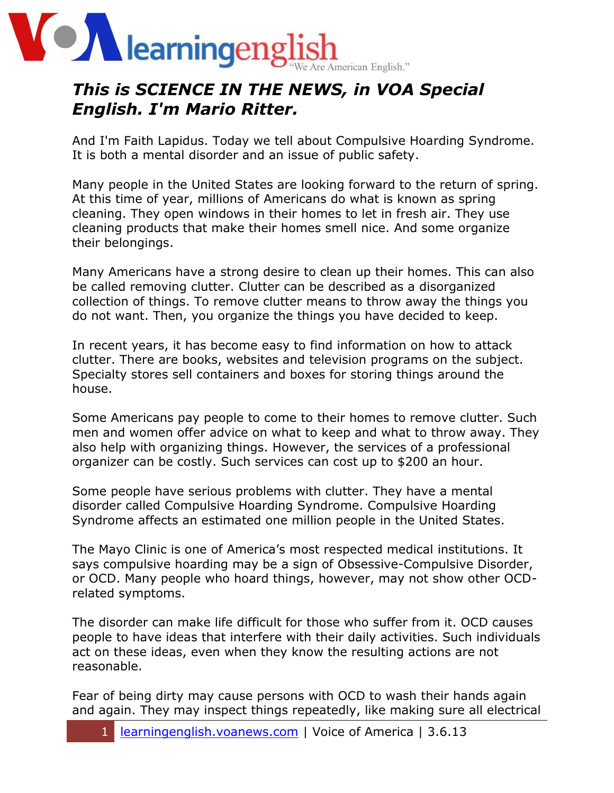

## *This is SCIENCE IN THE NEWS, in VOA Special English. I'm Mario Ritter.*

And I'm Faith Lapidus. Today we tell about Compulsive Hoarding Syndrome. It is both a mental disorder and an issue of public safety.

Many people in the United States are looking forward to the return of spring. At this time of year, millions of Americans do what is known as spring cleaning. They open windows in their homes to let in fresh air. They use cleaning products that make their homes smell nice. And some organize their belongings.

Many Americans have a strong desire to clean up their homes. This can also be called removing clutter. Clutter can be described as a disorganized collection of things. To remove clutter means to throw away the things you do not want. Then, you organize the things you have decided to keep.

In recent years, it has become easy to find information on how to attack clutter. There are books, websites and television programs on the subject. Specialty stores sell containers and boxes for storing things around the house.

Some Americans pay people to come to their homes to remove clutter. Such men and women offer advice on what to keep and what to throw away. They also help with organizing things. However, the services of a professional organizer can be costly. Such services can cost up to \$200 an hour.

Some people have serious problems with clutter. They have a mental disorder called Compulsive Hoarding Syndrome. Compulsive Hoarding Syndrome affects an estimated one million people in the United States.

The Mayo Clinic is one of America's most respected medical institutions. It says compulsive hoarding may be a sign of Obsessive-Compulsive Disorder, or OCD. Many people who hoard things, however, may not show other OCDrelated symptoms.

The disorder can make life difficult for those who suffer from it. OCD causes people to have ideas that interfere with their daily activities. Such individuals act on these ideas, even when they know the resulting actions are not reasonable.

Fear of being dirty may cause persons with OCD to wash their hands again and again. They may inspect things repeatedly, like making sure all electrical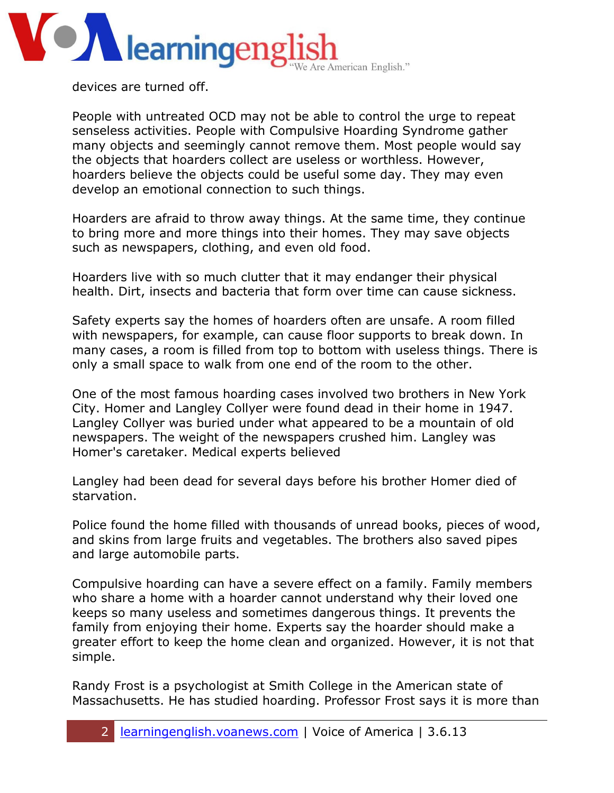

devices are turned off.

People with untreated OCD may not be able to control the urge to repeat senseless activities. People with Compulsive Hoarding Syndrome gather many objects and seemingly cannot remove them. Most people would say the objects that hoarders collect are useless or worthless. However, hoarders believe the objects could be useful some day. They may even develop an emotional connection to such things.

Hoarders are afraid to throw away things. At the same time, they continue to bring more and more things into their homes. They may save objects such as newspapers, clothing, and even old food.

Hoarders live with so much clutter that it may endanger their physical health. Dirt, insects and bacteria that form over time can cause sickness.

Safety experts say the homes of hoarders often are unsafe. A room filled with newspapers, for example, can cause floor supports to break down. In many cases, a room is filled from top to bottom with useless things. There is only a small space to walk from one end of the room to the other.

One of the most famous hoarding cases involved two brothers in New York City. Homer and Langley Collyer were found dead in their home in 1947. Langley Collyer was buried under what appeared to be a mountain of old newspapers. The weight of the newspapers crushed him. Langley was Homer's caretaker. Medical experts believed

Langley had been dead for several days before his brother Homer died of starvation.

Police found the home filled with thousands of unread books, pieces of wood, and skins from large fruits and vegetables. The brothers also saved pipes and large automobile parts.

Compulsive hoarding can have a severe effect on a family. Family members who share a home with a hoarder cannot understand why their loved one keeps so many useless and sometimes dangerous things. It prevents the family from enjoying their home. Experts say the hoarder should make a greater effort to keep the home clean and organized. However, it is not that simple.

Randy Frost is a psychologist at Smith College in the American state of Massachusetts. He has studied hoarding. Professor Frost says it is more than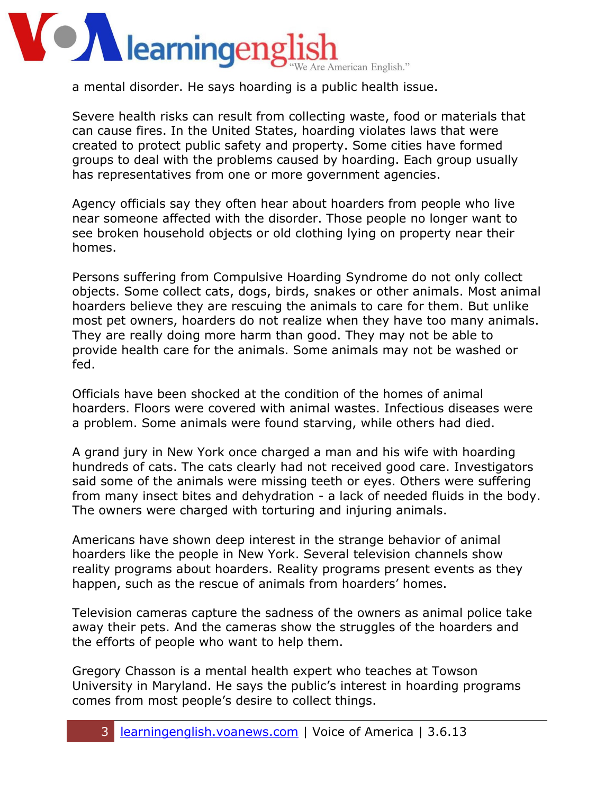## **OZ** learningeng e American English."

a mental disorder. He says hoarding is a public health issue.

Severe health risks can result from collecting waste, food or materials that can cause fires. In the United States, hoarding violates laws that were created to protect public safety and property. Some cities have formed groups to deal with the problems caused by hoarding. Each group usually has representatives from one or more government agencies.

Agency officials say they often hear about hoarders from people who live near someone affected with the disorder. Those people no longer want to see broken household objects or old clothing lying on property near their homes.

Persons suffering from Compulsive Hoarding Syndrome do not only collect objects. Some collect cats, dogs, birds, snakes or other animals. Most animal hoarders believe they are rescuing the animals to care for them. But unlike most pet owners, hoarders do not realize when they have too many animals. They are really doing more harm than good. They may not be able to provide health care for the animals. Some animals may not be washed or fed.

Officials have been shocked at the condition of the homes of animal hoarders. Floors were covered with animal wastes. Infectious diseases were a problem. Some animals were found starving, while others had died.

A grand jury in New York once charged a man and his wife with hoarding hundreds of cats. The cats clearly had not received good care. Investigators said some of the animals were missing teeth or eyes. Others were suffering from many insect bites and dehydration - a lack of needed fluids in the body. The owners were charged with torturing and injuring animals.

Americans have shown deep interest in the strange behavior of animal hoarders like the people in New York. Several television channels show reality programs about hoarders. Reality programs present events as they happen, such as the rescue of animals from hoarders' homes.

Television cameras capture the sadness of the owners as animal police take away their pets. And the cameras show the struggles of the hoarders and the efforts of people who want to help them.

Gregory Chasson is a mental health expert who teaches at Towson University in Maryland. He says the public's interest in hoarding programs comes from most people's desire to collect things.